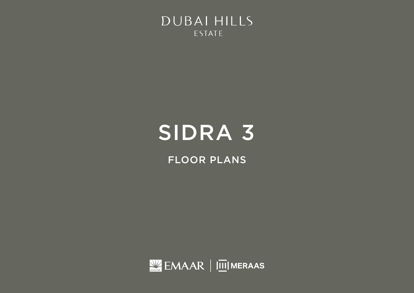

FLOOR PLANS

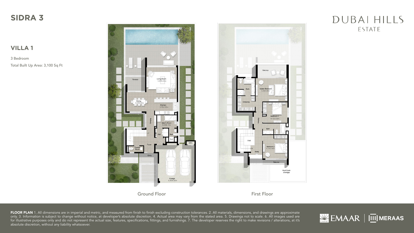### **VILLA 1**

3 Bedroom Total Built Up Area: 3,100 Sq Ft



Ground Floor First Floor

FLOOR PLAN 1. All dimensions are in imperial and metric, and measured from finish to finish excluding construction tolerances. 2. All materials, dimensions, and drawings are approximate only. 3. Information is subject to change without notice, at developer's absolute discretion. 4. Actual area may vary from the stated area. 5. Drawings not to scale. 6. All images used are for illustrative purposes only and do not represent the actual size, features, specifications, fittings, and furnishings. 7. The developer reserves the right to make revisions / alterations, at it's absolute discretion, without any liability whatsoever.



### DUBAI HILLS ESTATE



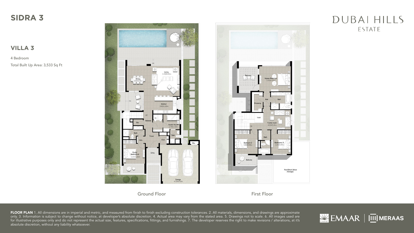#### **VILLA 3**

4 Bedroom Total Built Up Area: 3,533 Sq Ft



Ground Floor First Floor

FLOOR PLAN 1. All dimensions are in imperial and metric, and measured from finish to finish excluding construction tolerances. 2. All materials, dimensions, and drawings are approximate only. 3. Information is subject to change without notice, at developer's absolute discretion. 4. Actual area may vary from the stated area. 5. Drawings not to scale. 6. All images used are for illustrative purposes only and do not represent the actual size, features, specifications, fittings, and furnishings. 7. The developer reserves the right to make revisions / alterations, at it's absolute discretion, without any liability whatsoever.



### DUBAI HILLS ESTATE